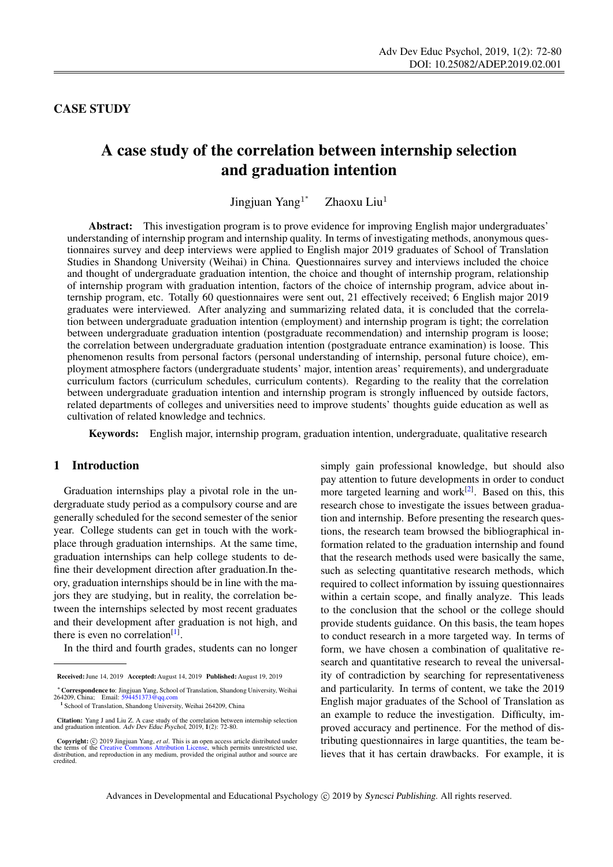# CASE STUDY

# A case study of the correlation between internship selection and graduation intention

Jingjuan Yang<sup>1\*</sup> Zhaoxu Liu<sup>1</sup>

Abstract: This investigation program is to prove evidence for improving English major undergraduates' understanding of internship program and internship quality. In terms of investigating methods, anonymous questionnaires survey and deep interviews were applied to English major 2019 graduates of School of Translation Studies in Shandong University (Weihai) in China. Questionnaires survey and interviews included the choice and thought of undergraduate graduation intention, the choice and thought of internship program, relationship of internship program with graduation intention, factors of the choice of internship program, advice about internship program, etc. Totally 60 questionnaires were sent out, 21 effectively received; 6 English major 2019 graduates were interviewed. After analyzing and summarizing related data, it is concluded that the correlation between undergraduate graduation intention (employment) and internship program is tight; the correlation between undergraduate graduation intention (postgraduate recommendation) and internship program is loose; the correlation between undergraduate graduation intention (postgraduate entrance examination) is loose. This phenomenon results from personal factors (personal understanding of internship, personal future choice), employment atmosphere factors (undergraduate students' major, intention areas' requirements), and undergraduate curriculum factors (curriculum schedules, curriculum contents). Regarding to the reality that the correlation between undergraduate graduation intention and internship program is strongly influenced by outside factors, related departments of colleges and universities need to improve students' thoughts guide education as well as cultivation of related knowledge and technics.

Keywords: English major, internship program, graduation intention, undergraduate, qualitative research

#### 1 Introduction

Graduation internships play a pivotal role in the undergraduate study period as a compulsory course and are generally scheduled for the second semester of the senior year. College students can get in touch with the workplace through graduation internships. At the same time, graduation internships can help college students to define their development direction after graduation.In theory, graduation internships should be in line with the majors they are studying, but in reality, the correlation between the internships selected by most recent graduates and their development after graduation is not high, and there is even no correlation<sup>[\[1\]](#page-8-0)</sup>.

In the third and fourth grades, students can no longer

simply gain professional knowledge, but should also pay attention to future developments in order to conduct more targeted learning and work<sup>[\[2\]](#page-8-1)</sup>. Based on this, this research chose to investigate the issues between graduation and internship. Before presenting the research questions, the research team browsed the bibliographical information related to the graduation internship and found that the research methods used were basically the same, such as selecting quantitative research methods, which required to collect information by issuing questionnaires within a certain scope, and finally analyze. This leads to the conclusion that the school or the college should provide students guidance. On this basis, the team hopes to conduct research in a more targeted way. In terms of form, we have chosen a combination of qualitative research and quantitative research to reveal the universality of contradiction by searching for representativeness and particularity. In terms of content, we take the 2019 English major graduates of the School of Translation as an example to reduce the investigation. Difficulty, improved accuracy and pertinence. For the method of distributing questionnaires in large quantities, the team believes that it has certain drawbacks. For example, it is

Received: June 14, 2019 Accepted: August 14, 2019 Published: August 19, 2019

<sup>∗</sup>Correspondence to: Jingjuan Yang, School of Translation, Shandong University, Weihai 264209, China; Email: <594451373@qq.com> <sup>1</sup> School of Translation, Shandong University, Weihai 264209, China

Citation: Yang J and Liu Z. A case study of the correlation between internship selection and graduation intention. Adv Dev Educ Psychol, 2019, 1(2): 72-80.

**Copyright:**  $\odot$  2019 Jingjuan Yang, *et al.* This is an open access article distributed under terms of the Creative Commons Attributed Liberation is distributed use, which permits unrestricted use, distribution, and re credited.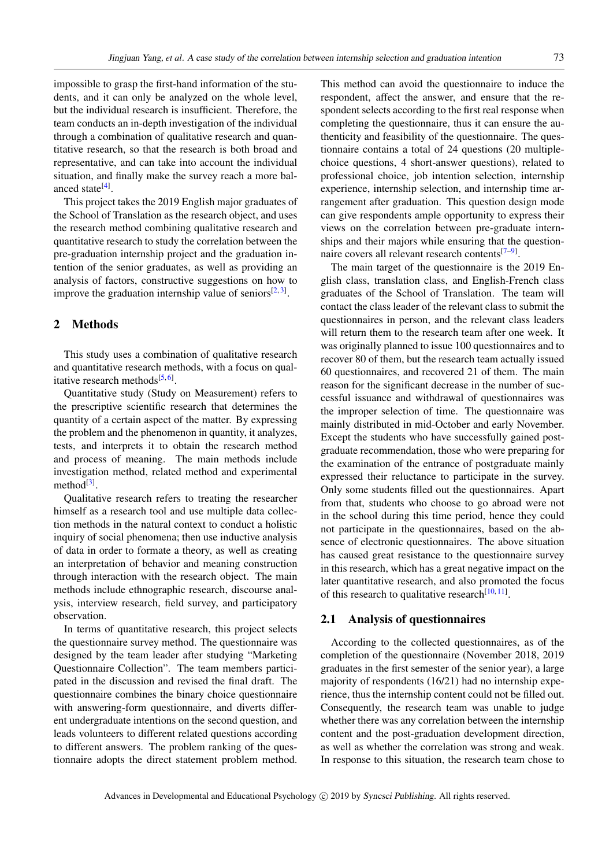impossible to grasp the first-hand information of the students, and it can only be analyzed on the whole level, but the individual research is insufficient. Therefore, the team conducts an in-depth investigation of the individual through a combination of qualitative research and quantitative research, so that the research is both broad and representative, and can take into account the individual situation, and finally make the survey reach a more bal-anced state<sup>[\[4\]](#page-8-2)</sup>.

This project takes the 2019 English major graduates of the School of Translation as the research object, and uses the research method combining qualitative research and quantitative research to study the correlation between the pre-graduation internship project and the graduation intention of the senior graduates, as well as providing an analysis of factors, constructive suggestions on how to improve the graduation internship value of seniors $[2,3]$  $[2,3]$ .

# 2 Methods

This study uses a combination of qualitative research and quantitative research methods, with a focus on qual-itative research methods<sup>[\[5,](#page-8-4)[6\]](#page-8-5)</sup>.

Quantitative study (Study on Measurement) refers to the prescriptive scientific research that determines the quantity of a certain aspect of the matter. By expressing the problem and the phenomenon in quantity, it analyzes, tests, and interprets it to obtain the research method and process of meaning. The main methods include investigation method, related method and experimental method $^{[3]}$  $^{[3]}$  $^{[3]}$ .

Qualitative research refers to treating the researcher himself as a research tool and use multiple data collection methods in the natural context to conduct a holistic inquiry of social phenomena; then use inductive analysis of data in order to formate a theory, as well as creating an interpretation of behavior and meaning construction through interaction with the research object. The main methods include ethnographic research, discourse analysis, interview research, field survey, and participatory observation.

In terms of quantitative research, this project selects the questionnaire survey method. The questionnaire was designed by the team leader after studying "Marketing Questionnaire Collection". The team members participated in the discussion and revised the final draft. The questionnaire combines the binary choice questionnaire with answering-form questionnaire, and diverts different undergraduate intentions on the second question, and leads volunteers to different related questions according to different answers. The problem ranking of the questionnaire adopts the direct statement problem method.

This method can avoid the questionnaire to induce the respondent, affect the answer, and ensure that the respondent selects according to the first real response when completing the questionnaire, thus it can ensure the authenticity and feasibility of the questionnaire. The questionnaire contains a total of 24 questions (20 multiplechoice questions, 4 short-answer questions), related to professional choice, job intention selection, internship experience, internship selection, and internship time arrangement after graduation. This question design mode can give respondents ample opportunity to express their views on the correlation between pre-graduate internships and their majors while ensuring that the question-naire covers all relevant research contents<sup>[\[7–](#page-8-6)[9\]](#page-8-7)</sup>.

The main target of the questionnaire is the 2019 English class, translation class, and English-French class graduates of the School of Translation. The team will contact the class leader of the relevant class to submit the questionnaires in person, and the relevant class leaders will return them to the research team after one week. It was originally planned to issue 100 questionnaires and to recover 80 of them, but the research team actually issued 60 questionnaires, and recovered 21 of them. The main reason for the significant decrease in the number of successful issuance and withdrawal of questionnaires was the improper selection of time. The questionnaire was mainly distributed in mid-October and early November. Except the students who have successfully gained postgraduate recommendation, those who were preparing for the examination of the entrance of postgraduate mainly expressed their reluctance to participate in the survey. Only some students filled out the questionnaires. Apart from that, students who choose to go abroad were not in the school during this time period, hence they could not participate in the questionnaires, based on the absence of electronic questionnaires. The above situation has caused great resistance to the questionnaire survey in this research, which has a great negative impact on the later quantitative research, and also promoted the focus of this research to qualitative research $[10, 11]$  $[10, 11]$  $[10, 11]$ .

## 2.1 Analysis of questionnaires

According to the collected questionnaires, as of the completion of the questionnaire (November 2018, 2019 graduates in the first semester of the senior year), a large majority of respondents (16/21) had no internship experience, thus the internship content could not be filled out. Consequently, the research team was unable to judge whether there was any correlation between the internship content and the post-graduation development direction, as well as whether the correlation was strong and weak. In response to this situation, the research team chose to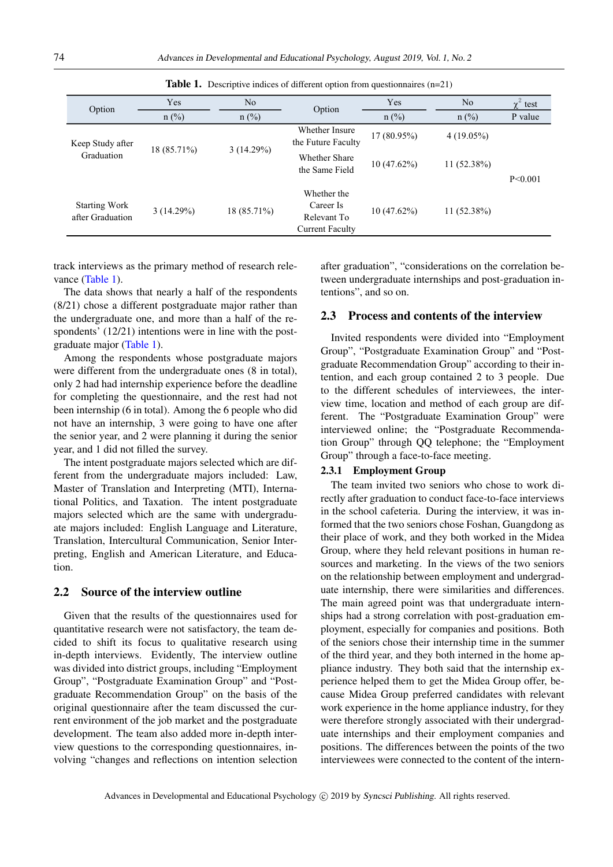| Option                                   | Yes                      | No        | Option                                                            | Yes         | N <sub>o</sub> | $\chi^2$ test |
|------------------------------------------|--------------------------|-----------|-------------------------------------------------------------------|-------------|----------------|---------------|
|                                          | $n$ (%)                  | $n$ (%)   |                                                                   | $n$ (%)     | $n$ (%)        | P value       |
| Keep Study after<br>Graduation           | 18 (85.71%)              | 3(14.29%) | Whether Insure<br>the Future Faculty                              | 17 (80.95%) | $4(19.05\%)$   | P<0.001       |
|                                          |                          |           | Whether Share<br>the Same Field                                   | 10(47.62%)  | $11(52.38\%)$  |               |
| <b>Starting Work</b><br>after Graduation | 3(14.29%)<br>18 (85.71%) |           | Whether the<br>Career Is<br>Relevant To<br><b>Current Faculty</b> | 10(47.62%)  | $11(52.38\%)$  |               |

<span id="page-2-0"></span>

|  |  |  |  |  |  | <b>Table 1.</b> Descriptive indices of different option from questionnaires $(n=21)$ |  |
|--|--|--|--|--|--|--------------------------------------------------------------------------------------|--|
|--|--|--|--|--|--|--------------------------------------------------------------------------------------|--|

track interviews as the primary method of research rele-vance [\(Table 1\)](#page-2-0).

The data shows that nearly a half of the respondents (8/21) chose a different postgraduate major rather than the undergraduate one, and more than a half of the respondents' (12/21) intentions were in line with the postgraduate major [\(Table 1\)](#page-2-0).

Among the respondents whose postgraduate majors were different from the undergraduate ones (8 in total), only 2 had had internship experience before the deadline for completing the questionnaire, and the rest had not been internship (6 in total). Among the 6 people who did not have an internship, 3 were going to have one after the senior year, and 2 were planning it during the senior year, and 1 did not filled the survey.

The intent postgraduate majors selected which are different from the undergraduate majors included: Law, Master of Translation and Interpreting (MTI), International Politics, and Taxation. The intent postgraduate majors selected which are the same with undergraduate majors included: English Language and Literature, Translation, Intercultural Communication, Senior Interpreting, English and American Literature, and Education.

# 2.2 Source of the interview outline

Given that the results of the questionnaires used for quantitative research were not satisfactory, the team decided to shift its focus to qualitative research using in-depth interviews. Evidently, The interview outline was divided into district groups, including "Employment Group", "Postgraduate Examination Group" and "Postgraduate Recommendation Group" on the basis of the original questionnaire after the team discussed the current environment of the job market and the postgraduate development. The team also added more in-depth interview questions to the corresponding questionnaires, involving "changes and reflections on intention selection

after graduation", "considerations on the correlation between undergraduate internships and post-graduation intentions", and so on.

## 2.3 Process and contents of the interview

Invited respondents were divided into "Employment Group", "Postgraduate Examination Group" and "Postgraduate Recommendation Group" according to their intention, and each group contained 2 to 3 people. Due to the different schedules of interviewees, the interview time, location and method of each group are different. The "Postgraduate Examination Group" were interviewed online; the "Postgraduate Recommendation Group" through QQ telephone; the "Employment Group" through a face-to-face meeting.

## 2.3.1 Employment Group

The team invited two seniors who chose to work directly after graduation to conduct face-to-face interviews in the school cafeteria. During the interview, it was informed that the two seniors chose Foshan, Guangdong as their place of work, and they both worked in the Midea Group, where they held relevant positions in human resources and marketing. In the views of the two seniors on the relationship between employment and undergraduate internship, there were similarities and differences. The main agreed point was that undergraduate internships had a strong correlation with post-graduation employment, especially for companies and positions. Both of the seniors chose their internship time in the summer of the third year, and they both interned in the home appliance industry. They both said that the internship experience helped them to get the Midea Group offer, because Midea Group preferred candidates with relevant work experience in the home appliance industry, for they were therefore strongly associated with their undergraduate internships and their employment companies and positions. The differences between the points of the two interviewees were connected to the content of the intern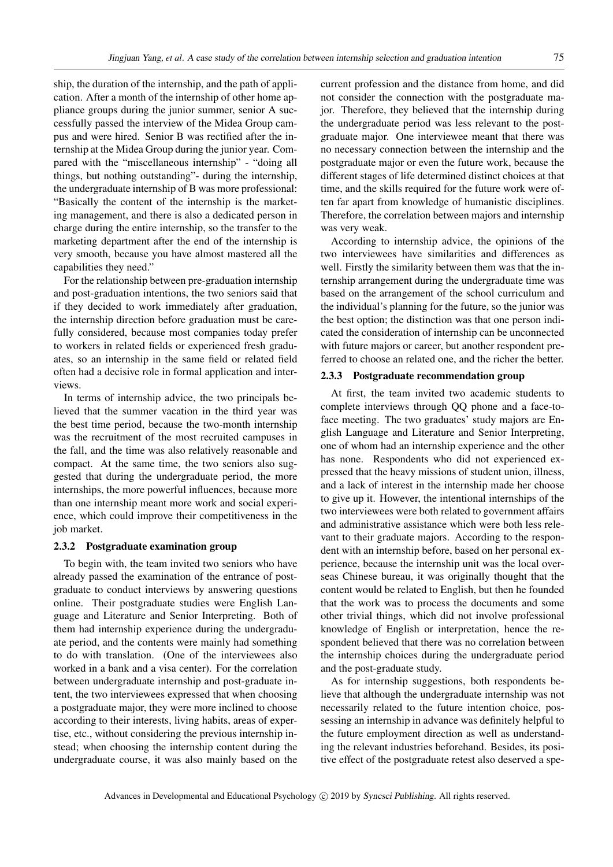ship, the duration of the internship, and the path of application. After a month of the internship of other home appliance groups during the junior summer, senior A successfully passed the interview of the Midea Group campus and were hired. Senior B was rectified after the internship at the Midea Group during the junior year. Compared with the "miscellaneous internship" - "doing all things, but nothing outstanding"- during the internship, the undergraduate internship of B was more professional: "Basically the content of the internship is the marketing management, and there is also a dedicated person in charge during the entire internship, so the transfer to the marketing department after the end of the internship is very smooth, because you have almost mastered all the capabilities they need."

For the relationship between pre-graduation internship and post-graduation intentions, the two seniors said that if they decided to work immediately after graduation, the internship direction before graduation must be carefully considered, because most companies today prefer to workers in related fields or experienced fresh graduates, so an internship in the same field or related field often had a decisive role in formal application and interviews.

In terms of internship advice, the two principals believed that the summer vacation in the third year was the best time period, because the two-month internship was the recruitment of the most recruited campuses in the fall, and the time was also relatively reasonable and compact. At the same time, the two seniors also suggested that during the undergraduate period, the more internships, the more powerful influences, because more than one internship meant more work and social experience, which could improve their competitiveness in the job market.

#### 2.3.2 Postgraduate examination group

To begin with, the team invited two seniors who have already passed the examination of the entrance of postgraduate to conduct interviews by answering questions online. Their postgraduate studies were English Language and Literature and Senior Interpreting. Both of them had internship experience during the undergraduate period, and the contents were mainly had something to do with translation. (One of the interviewees also worked in a bank and a visa center). For the correlation between undergraduate internship and post-graduate intent, the two interviewees expressed that when choosing a postgraduate major, they were more inclined to choose according to their interests, living habits, areas of expertise, etc., without considering the previous internship instead; when choosing the internship content during the undergraduate course, it was also mainly based on the

current profession and the distance from home, and did not consider the connection with the postgraduate major. Therefore, they believed that the internship during the undergraduate period was less relevant to the postgraduate major. One interviewee meant that there was no necessary connection between the internship and the postgraduate major or even the future work, because the different stages of life determined distinct choices at that time, and the skills required for the future work were often far apart from knowledge of humanistic disciplines. Therefore, the correlation between majors and internship was very weak.

According to internship advice, the opinions of the two interviewees have similarities and differences as well. Firstly the similarity between them was that the internship arrangement during the undergraduate time was based on the arrangement of the school curriculum and the individual's planning for the future, so the junior was the best option; the distinction was that one person indicated the consideration of internship can be unconnected with future majors or career, but another respondent preferred to choose an related one, and the richer the better.

#### 2.3.3 Postgraduate recommendation group

At first, the team invited two academic students to complete interviews through QQ phone and a face-toface meeting. The two graduates' study majors are English Language and Literature and Senior Interpreting, one of whom had an internship experience and the other has none. Respondents who did not experienced expressed that the heavy missions of student union, illness, and a lack of interest in the internship made her choose to give up it. However, the intentional internships of the two interviewees were both related to government affairs and administrative assistance which were both less relevant to their graduate majors. According to the respondent with an internship before, based on her personal experience, because the internship unit was the local overseas Chinese bureau, it was originally thought that the content would be related to English, but then he founded that the work was to process the documents and some other trivial things, which did not involve professional knowledge of English or interpretation, hence the respondent believed that there was no correlation between the internship choices during the undergraduate period and the post-graduate study.

As for internship suggestions, both respondents believe that although the undergraduate internship was not necessarily related to the future intention choice, possessing an internship in advance was definitely helpful to the future employment direction as well as understanding the relevant industries beforehand. Besides, its positive effect of the postgraduate retest also deserved a spe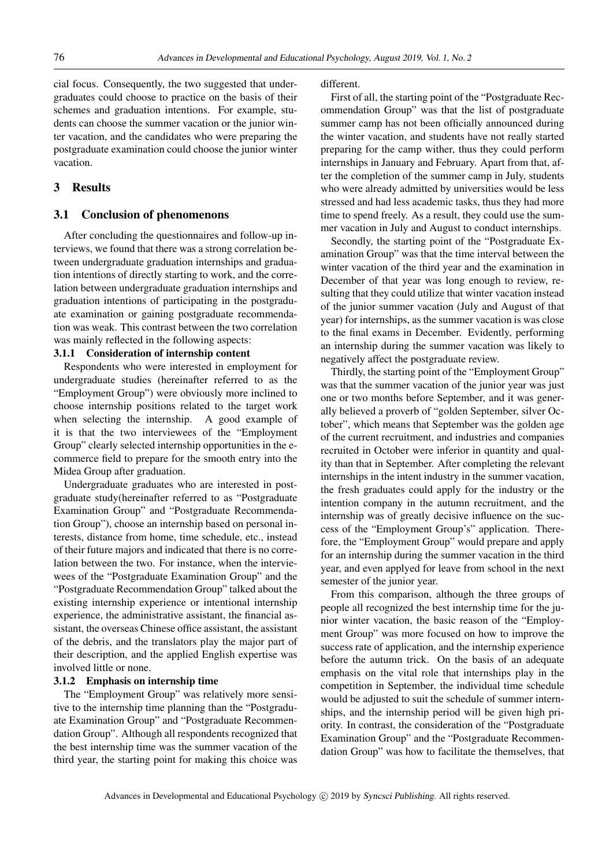cial focus. Consequently, the two suggested that undergraduates could choose to practice on the basis of their schemes and graduation intentions. For example, students can choose the summer vacation or the junior winter vacation, and the candidates who were preparing the postgraduate examination could choose the junior winter vacation.

## 3 Results

### 3.1 Conclusion of phenomenons

After concluding the questionnaires and follow-up interviews, we found that there was a strong correlation between undergraduate graduation internships and graduation intentions of directly starting to work, and the correlation between undergraduate graduation internships and graduation intentions of participating in the postgraduate examination or gaining postgraduate recommendation was weak. This contrast between the two correlation was mainly reflected in the following aspects:

#### 3.1.1 Consideration of internship content

Respondents who were interested in employment for undergraduate studies (hereinafter referred to as the "Employment Group") were obviously more inclined to choose internship positions related to the target work when selecting the internship. A good example of it is that the two interviewees of the "Employment Group" clearly selected internship opportunities in the ecommerce field to prepare for the smooth entry into the Midea Group after graduation.

Undergraduate graduates who are interested in postgraduate study(hereinafter referred to as "Postgraduate Examination Group" and "Postgraduate Recommendation Group"), choose an internship based on personal interests, distance from home, time schedule, etc., instead of their future majors and indicated that there is no correlation between the two. For instance, when the interviewees of the "Postgraduate Examination Group" and the "Postgraduate Recommendation Group" talked about the existing internship experience or intentional internship experience, the administrative assistant, the financial assistant, the overseas Chinese office assistant, the assistant of the debris, and the translators play the major part of their description, and the applied English expertise was involved little or none.

#### 3.1.2 Emphasis on internship time

The "Employment Group" was relatively more sensitive to the internship time planning than the "Postgraduate Examination Group" and "Postgraduate Recommendation Group". Although all respondents recognized that the best internship time was the summer vacation of the third year, the starting point for making this choice was

different.

First of all, the starting point of the "Postgraduate Recommendation Group" was that the list of postgraduate summer camp has not been officially announced during the winter vacation, and students have not really started preparing for the camp wither, thus they could perform internships in January and February. Apart from that, after the completion of the summer camp in July, students who were already admitted by universities would be less stressed and had less academic tasks, thus they had more time to spend freely. As a result, they could use the summer vacation in July and August to conduct internships.

Secondly, the starting point of the "Postgraduate Examination Group" was that the time interval between the winter vacation of the third year and the examination in December of that year was long enough to review, resulting that they could utilize that winter vacation instead of the junior summer vacation (July and August of that year) for internships, as the summer vacation is was close to the final exams in December. Evidently, performing an internship during the summer vacation was likely to negatively affect the postgraduate review.

Thirdly, the starting point of the "Employment Group" was that the summer vacation of the junior year was just one or two months before September, and it was generally believed a proverb of "golden September, silver October", which means that September was the golden age of the current recruitment, and industries and companies recruited in October were inferior in quantity and quality than that in September. After completing the relevant internships in the intent industry in the summer vacation, the fresh graduates could apply for the industry or the intention company in the autumn recruitment, and the internship was of greatly decisive influence on the success of the "Employment Group's" application. Therefore, the "Employment Group" would prepare and apply for an internship during the summer vacation in the third year, and even applyed for leave from school in the next semester of the junior year.

From this comparison, although the three groups of people all recognized the best internship time for the junior winter vacation, the basic reason of the "Employment Group" was more focused on how to improve the success rate of application, and the internship experience before the autumn trick. On the basis of an adequate emphasis on the vital role that internships play in the competition in September, the individual time schedule would be adjusted to suit the schedule of summer internships, and the internship period will be given high priority. In contrast, the consideration of the "Postgraduate Examination Group" and the "Postgraduate Recommendation Group" was how to facilitate the themselves, that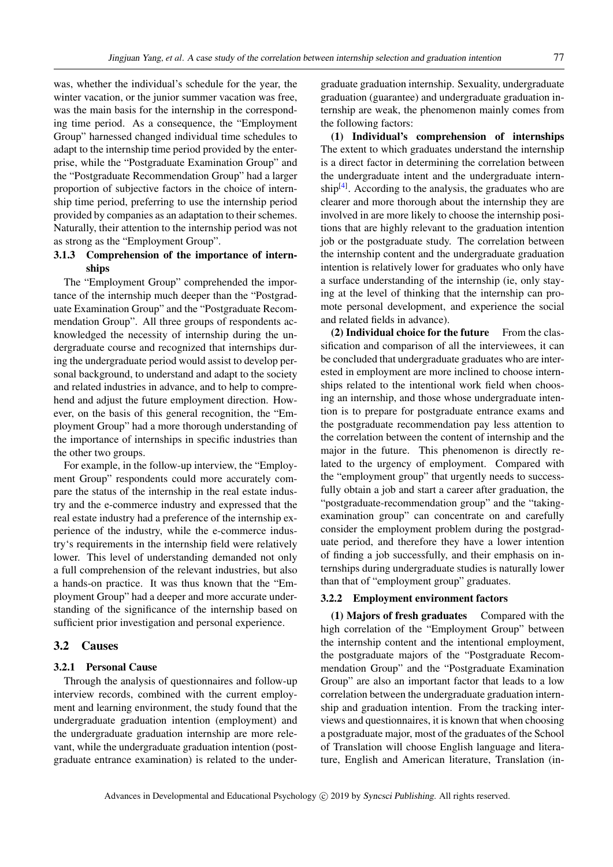was, whether the individual's schedule for the year, the winter vacation, or the junior summer vacation was free, was the main basis for the internship in the corresponding time period. As a consequence, the "Employment Group" harnessed changed individual time schedules to adapt to the internship time period provided by the enterprise, while the "Postgraduate Examination Group" and the "Postgraduate Recommendation Group" had a larger proportion of subjective factors in the choice of internship time period, preferring to use the internship period provided by companies as an adaptation to their schemes. Naturally, their attention to the internship period was not as strong as the "Employment Group".

# 3.1.3 Comprehension of the importance of internships

The "Employment Group" comprehended the importance of the internship much deeper than the "Postgraduate Examination Group" and the "Postgraduate Recommendation Group". All three groups of respondents acknowledged the necessity of internship during the undergraduate course and recognized that internships during the undergraduate period would assist to develop personal background, to understand and adapt to the society and related industries in advance, and to help to comprehend and adjust the future employment direction. However, on the basis of this general recognition, the "Employment Group" had a more thorough understanding of the importance of internships in specific industries than the other two groups.

For example, in the follow-up interview, the "Employment Group" respondents could more accurately compare the status of the internship in the real estate industry and the e-commerce industry and expressed that the real estate industry had a preference of the internship experience of the industry, while the e-commerce industry's requirements in the internship field were relatively lower. This level of understanding demanded not only a full comprehension of the relevant industries, but also a hands-on practice. It was thus known that the "Employment Group" had a deeper and more accurate understanding of the significance of the internship based on sufficient prior investigation and personal experience.

#### 3.2 Causes

#### 3.2.1 Personal Cause

Through the analysis of questionnaires and follow-up interview records, combined with the current employment and learning environment, the study found that the undergraduate graduation intention (employment) and the undergraduate graduation internship are more relevant, while the undergraduate graduation intention (postgraduate entrance examination) is related to the undergraduate graduation internship. Sexuality, undergraduate graduation (guarantee) and undergraduate graduation internship are weak, the phenomenon mainly comes from the following factors:

(1) Individual's comprehension of internships The extent to which graduates understand the internship is a direct factor in determining the correlation between the undergraduate intent and the undergraduate intern- $ship<sup>[4]</sup>$  $ship<sup>[4]</sup>$  $ship<sup>[4]</sup>$ . According to the analysis, the graduates who are clearer and more thorough about the internship they are involved in are more likely to choose the internship positions that are highly relevant to the graduation intention job or the postgraduate study. The correlation between the internship content and the undergraduate graduation intention is relatively lower for graduates who only have a surface understanding of the internship (ie, only staying at the level of thinking that the internship can promote personal development, and experience the social and related fields in advance).

 $(2)$  Individual choice for the future From the classification and comparison of all the interviewees, it can be concluded that undergraduate graduates who are interested in employment are more inclined to choose internships related to the intentional work field when choosing an internship, and those whose undergraduate intention is to prepare for postgraduate entrance exams and the postgraduate recommendation pay less attention to the correlation between the content of internship and the major in the future. This phenomenon is directly related to the urgency of employment. Compared with the "employment group" that urgently needs to successfully obtain a job and start a career after graduation, the "postgraduate-recommendation group" and the "takingexamination group" can concentrate on and carefully consider the employment problem during the postgraduate period, and therefore they have a lower intention of finding a job successfully, and their emphasis on internships during undergraduate studies is naturally lower than that of "employment group" graduates.

#### 3.2.2 Employment environment factors

(1) Majors of fresh graduates Compared with the high correlation of the "Employment Group" between the internship content and the intentional employment, the postgraduate majors of the "Postgraduate Recommendation Group" and the "Postgraduate Examination Group" are also an important factor that leads to a low correlation between the undergraduate graduation internship and graduation intention. From the tracking interviews and questionnaires, it is known that when choosing a postgraduate major, most of the graduates of the School of Translation will choose English language and literature, English and American literature, Translation (in-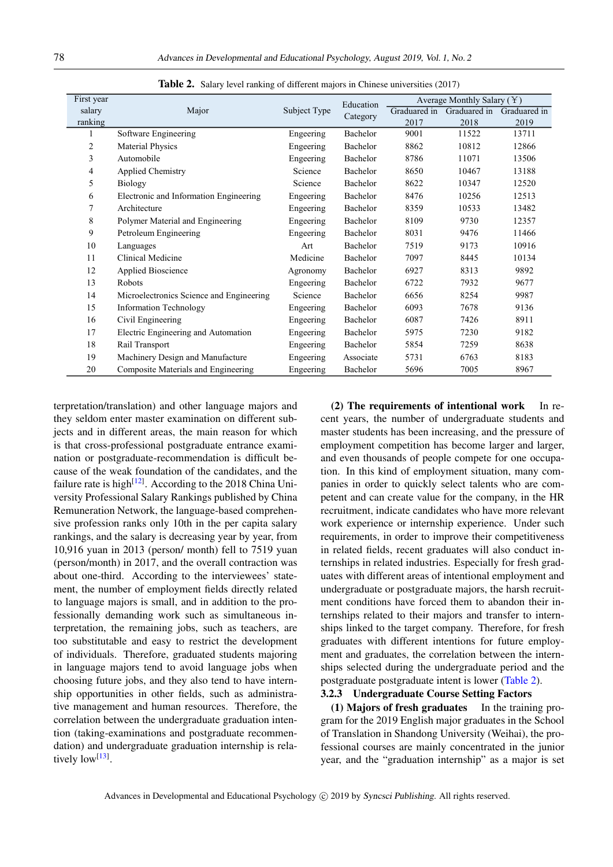| First year |                                          |              | Education | Average Monthly Salary $(Y)$ |              |              |
|------------|------------------------------------------|--------------|-----------|------------------------------|--------------|--------------|
| salary     | Major                                    | Subject Type | Category  | Graduared in                 | Graduared in | Graduared in |
| ranking    |                                          |              |           | 2017                         | 2018         | 2019         |
| 1          | Software Engineering                     | Engeering    | Bachelor  | 9001                         | 11522        | 13711        |
| 2          | <b>Material Physics</b>                  | Engeering    | Bachelor  | 8862                         | 10812        | 12866        |
| 3          | Automobile                               | Engeering    | Bachelor  | 8786                         | 11071        | 13506        |
| 4          | <b>Applied Chemistry</b>                 | Science      | Bachelor  | 8650                         | 10467        | 13188        |
| 5          | <b>Biology</b>                           | Science      | Bachelor  | 8622                         | 10347        | 12520        |
| 6          | Electronic and Information Engineering   | Engeering    | Bachelor  | 8476                         | 10256        | 12513        |
| 7          | Architecture                             | Engeering    | Bachelor  | 8359                         | 10533        | 13482        |
| 8          | Polymer Material and Engineering         | Engeering    | Bachelor  | 8109                         | 9730         | 12357        |
| 9          | Petroleum Engineering                    | Engeering    | Bachelor  | 8031                         | 9476         | 11466        |
| 10         | Languages                                | Art          | Bachelor  | 7519                         | 9173         | 10916        |
| 11         | Clinical Medicine                        | Medicine     | Bachelor  | 7097                         | 8445         | 10134        |
| 12         | <b>Applied Bioscience</b>                | Agronomy     | Bachelor  | 6927                         | 8313         | 9892         |
| 13         | <b>Robots</b>                            | Engeering    | Bachelor  | 6722                         | 7932         | 9677         |
| 14         | Microelectronics Science and Engineering | Science      | Bachelor  | 6656                         | 8254         | 9987         |
| 15         | <b>Information Technology</b>            | Engeering    | Bachelor  | 6093                         | 7678         | 9136         |
| 16         | Civil Engineering                        | Engeering    | Bachelor  | 6087                         | 7426         | 8911         |
| 17         | Electric Engineering and Automation      | Engeering    | Bachelor  | 5975                         | 7230         | 9182         |
| 18         | Rail Transport                           | Engeering    | Bachelor  | 5854                         | 7259         | 8638         |
| 19         | Machinery Design and Manufacture         | Engeering    | Associate | 5731                         | 6763         | 8183         |
| 20         | Composite Materials and Engineering      | Engeering    | Bachelor  | 5696                         | 7005         | 8967         |

<span id="page-6-0"></span>Table 2. Salary level ranking of different majors in Chinese universities (2017)

terpretation/translation) and other language majors and they seldom enter master examination on different subjects and in different areas, the main reason for which is that cross-professional postgraduate entrance examination or postgraduate-recommendation is difficult because of the weak foundation of the candidates, and the failure rate is high<sup>[\[12\]](#page-8-10)</sup>. According to the 2018 China University Professional Salary Rankings published by China Remuneration Network, the language-based comprehensive profession ranks only 10th in the per capita salary rankings, and the salary is decreasing year by year, from 10,916 yuan in 2013 (person/ month) fell to 7519 yuan (person/month) in 2017, and the overall contraction was about one-third. According to the interviewees' statement, the number of employment fields directly related to language majors is small, and in addition to the professionally demanding work such as simultaneous interpretation, the remaining jobs, such as teachers, are too substitutable and easy to restrict the development of individuals. Therefore, graduated students majoring in language majors tend to avoid language jobs when choosing future jobs, and they also tend to have internship opportunities in other fields, such as administrative management and human resources. Therefore, the correlation between the undergraduate graduation intention (taking-examinations and postgraduate recommendation) and undergraduate graduation internship is relatively  $low^{[13]}$  $low^{[13]}$  $low^{[13]}$ .

(2) The requirements of intentional work In recent years, the number of undergraduate students and master students has been increasing, and the pressure of employment competition has become larger and larger, and even thousands of people compete for one occupation. In this kind of employment situation, many companies in order to quickly select talents who are competent and can create value for the company, in the HR recruitment, indicate candidates who have more relevant work experience or internship experience. Under such requirements, in order to improve their competitiveness in related fields, recent graduates will also conduct internships in related industries. Especially for fresh graduates with different areas of intentional employment and undergraduate or postgraduate majors, the harsh recruitment conditions have forced them to abandon their internships related to their majors and transfer to internships linked to the target company. Therefore, for fresh graduates with different intentions for future employment and graduates, the correlation between the internships selected during the undergraduate period and the postgraduate postgraduate intent is lower [\(Table 2\)](#page-6-0).

# 3.2.3 Undergraduate Course Setting Factors

(1) Majors of fresh graduates In the training program for the 2019 English major graduates in the School of Translation in Shandong University (Weihai), the professional courses are mainly concentrated in the junior year, and the "graduation internship" as a major is set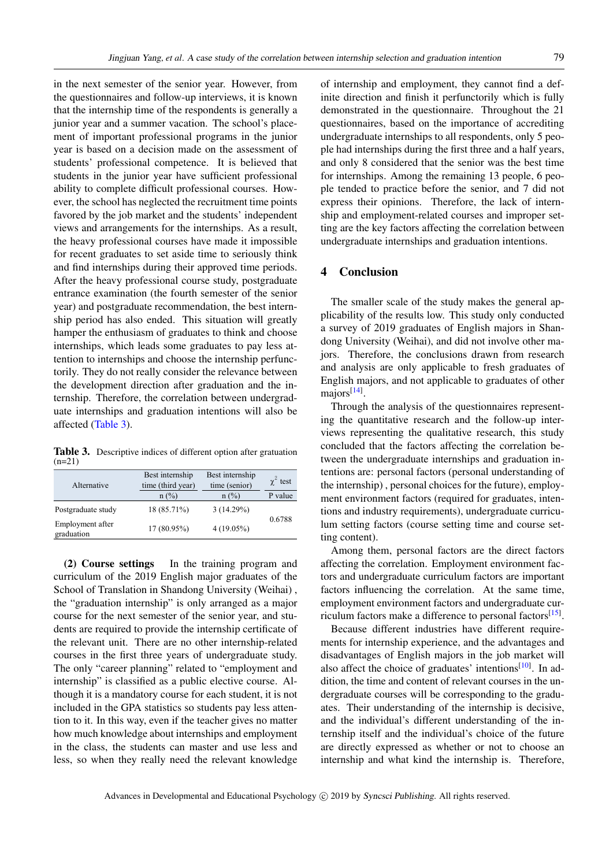in the next semester of the senior year. However, from the questionnaires and follow-up interviews, it is known that the internship time of the respondents is generally a junior year and a summer vacation. The school's placement of important professional programs in the junior year is based on a decision made on the assessment of students' professional competence. It is believed that students in the junior year have sufficient professional ability to complete difficult professional courses. However, the school has neglected the recruitment time points favored by the job market and the students' independent views and arrangements for the internships. As a result, the heavy professional courses have made it impossible for recent graduates to set aside time to seriously think and find internships during their approved time periods. After the heavy professional course study, postgraduate entrance examination (the fourth semester of the senior year) and postgraduate recommendation, the best internship period has also ended. This situation will greatly hamper the enthusiasm of graduates to think and choose internships, which leads some graduates to pay less attention to internships and choose the internship perfunctorily. They do not really consider the relevance between the development direction after graduation and the internship. Therefore, the correlation between undergraduate internships and graduation intentions will also be affected [\(Table 3\)](#page-7-0).

<span id="page-7-0"></span>Table 3. Descriptive indices of different option after gratuation  $(n=21)$ 

| Alternative                    | Best internship<br>time (third year) | Best internship<br>time (senior) | $\gamma^2$ test |
|--------------------------------|--------------------------------------|----------------------------------|-----------------|
|                                | $n$ (%)                              | $n$ (%)                          | P value         |
| Postgraduate study             | 18 (85.71%)                          | 3(14.29%)                        |                 |
| Employment after<br>graduation | 17 (80.95%)                          | $4(19.05\%)$                     | 0.6788          |

(2) Course settings In the training program and curriculum of the 2019 English major graduates of the School of Translation in Shandong University (Weihai) , the "graduation internship" is only arranged as a major course for the next semester of the senior year, and students are required to provide the internship certificate of the relevant unit. There are no other internship-related courses in the first three years of undergraduate study. The only "career planning" related to "employment and internship" is classified as a public elective course. Although it is a mandatory course for each student, it is not included in the GPA statistics so students pay less attention to it. In this way, even if the teacher gives no matter how much knowledge about internships and employment in the class, the students can master and use less and less, so when they really need the relevant knowledge of internship and employment, they cannot find a definite direction and finish it perfunctorily which is fully demonstrated in the questionnaire. Throughout the 21 questionnaires, based on the importance of accrediting undergraduate internships to all respondents, only 5 people had internships during the first three and a half years, and only 8 considered that the senior was the best time for internships. Among the remaining 13 people, 6 people tended to practice before the senior, and 7 did not express their opinions. Therefore, the lack of internship and employment-related courses and improper setting are the key factors affecting the correlation between undergraduate internships and graduation intentions.

#### 4 Conclusion

The smaller scale of the study makes the general applicability of the results low. This study only conducted a survey of 2019 graduates of English majors in Shandong University (Weihai), and did not involve other majors. Therefore, the conclusions drawn from research and analysis are only applicable to fresh graduates of English majors, and not applicable to graduates of other majors<sup>[\[14\]](#page-8-12)</sup>.

Through the analysis of the questionnaires representing the quantitative research and the follow-up interviews representing the qualitative research, this study concluded that the factors affecting the correlation between the undergraduate internships and graduation intentions are: personal factors (personal understanding of the internship) , personal choices for the future), employment environment factors (required for graduates, intentions and industry requirements), undergraduate curriculum setting factors (course setting time and course setting content).

Among them, personal factors are the direct factors affecting the correlation. Employment environment factors and undergraduate curriculum factors are important factors influencing the correlation. At the same time, employment environment factors and undergraduate cur-riculum factors make a difference to personal factors<sup>[\[15\]](#page-8-13)</sup>.

Because different industries have different requirements for internship experience, and the advantages and disadvantages of English majors in the job market will also affect the choice of graduates' intentions<sup>[\[10\]](#page-8-8)</sup>. In addition, the time and content of relevant courses in the undergraduate courses will be corresponding to the graduates. Their understanding of the internship is decisive, and the individual's different understanding of the internship itself and the individual's choice of the future are directly expressed as whether or not to choose an internship and what kind the internship is. Therefore,